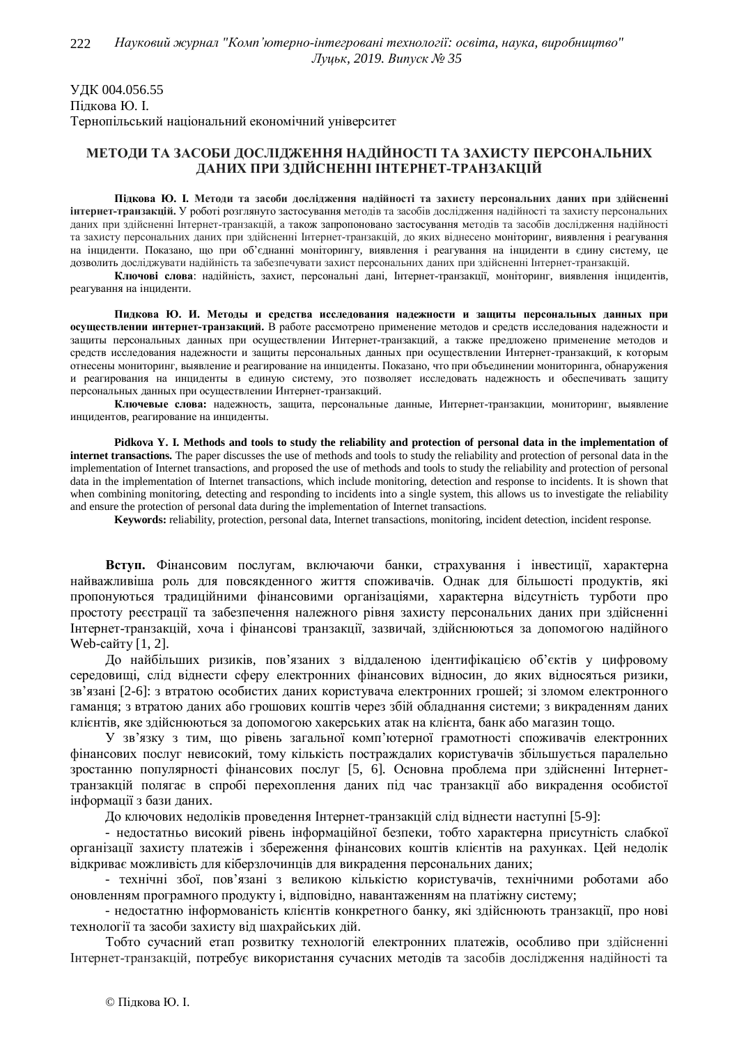УДК 004.056.55 Пілкова Ю. I. Тернопільський національний економічний університет

## МЕТОЛИ ТА ЗАСОБИ ЛОСЛІЛЖЕННЯ НАЛІЙНОСТІ ТА ЗАХИСТУ ПЕРСОНАЛЬНИХ ДАНИХ ПРИ ЗДІЙСНЕННІ ІНТЕРНЕТ-ТРАНЗАКЦІЙ

Підкова Ю. І. Методи та засоби дослідження надійності та захисту персональних даних при здійсненні **інтернет-транзакцій.** У роботі розглянуто застосування методів та засобів дослідження надійності та захисту персональних даних при здійсненні Інтернет-транзакцій, а також запропоновано застосування методів та засобів дослідження надійності та захисту персональних даних при здійсненні Інтернет-транзакцій, до яких віднесено моніторинг, виявлення і реагування на інциденти. Показано, що при об'єднанні моніторингу, виявлення і реагування на інциденти в єдину систему, це дозволить досліджувати надійність та забезпечувати захист персональних даних при здійсненні Інтернет-транзакцій.

Ключові слова: надійність, захист, персональні дані, Інтернет-транзакції, моніторинг, виявлення інцидентів, реагування на інциденти.

Пидкова Ю. И. Методы и средства исследования надежности и защиты персональных данных при **осуществлении интернет-транзакций.** В работе рассмотрено применение методов и средств исследования надежности и защиты персональных данных при осуществлении Интернет-транзакций, а также предложено применение методов и средств исследования надежности и защиты персональных данных при осуществлении Интернет-транзакций, к которым отнесены мониторинг, выявление и реагирование на инциденты. Показано, что при объединении мониторинга, обнаружения и реагирования на инциденты в единую систему, это позволяет исследовать надежность и обеспечивать защиту персональных данных при осуществлении Интернет-транзакций.

Ключевые слова: належность, зашита, персональные данные, Интернет-транзакции, мониторинг, выявление инцидентов, реагирование на инциденты.

**Pidkova Y. I. Methods and tools to study the reliability and protection of personal data in the implementation of internet transactions.** The paper discusses the use of methods and tools to study the reliability and protection of personal data in the implementation of Internet transactions, and proposed the use of methods and tools to study the reliability and protection of personal data in the implementation of Internet transactions, which include monitoring, detection and response to incidents. It is shown that when combining monitoring, detecting and responding to incidents into a single system, this allows us to investigate the reliability and ensure the protection of personal data during the implementation of Internet transactions.

**Keywords:** reliability, protection, personal data, Internet transactions, monitoring, incident detection, incident response.

Вступ. Фінансовим послугам, включаючи банки, страхування і інвестиції, характерна найважливіша роль для повсякденного життя споживачів. Однак для більшості продуктів, які пропонуються традиційними фінансовими організаціями, характерна відсутність турботи про простоту ресстрації та забезпечення належного рівня захисту персональних даних при здійсненні Iнтернет-транзакцій, хоча і фінансові транзакції, зазвичай, здійснюються за допомогою надійного Web-сайту  $[1, 2]$ .

До найбільших ризиків, пов'язаних з віддаленою ідентифікацією об'єктів у цифровому сереловиші, сліл вілнести сферу електронних фінансових вілносин, ло яких вілносяться ризики, зв'язані [2-6]: з втратою особистих даних користувача електронних грошей; зі зломом електронного гаманця; з втратою даних або грошових коштів через збій обладнання системи; з викраденням даних клієнтів, яке здійснюються за допомогою хакерських атак на клієнта, банк або магазин тощо.

У зв'язку з тим, що рівень загальної комп'ютерної грамотності споживачів електронних фінансових послуг невисокий, тому кількість постраждалих користувачів збільшується паралельно зростанню популярності фінансових послуг [5, 6]. Основна проблема при здійсненні Інтернеттранзакцій полягає в спробі перехоплення даних під час транзакції або викрадення особистої інформації з бази даних.

До ключових недоліків проведення Інтернет-транзакцій слід віднести наступні [5-9]:

- недостатньо високий рівень інформаційної безпеки, тобто характерна присутність слабкої організації захисту платежів і збереження фінансових коштів клієнтів на рахунках. Цей недолік відкриває можливість для кіберзлочинців для викрадення персональних даних;

- технічні збої, пов'язані з великою кількістю користувачів, технічними роботами або оновленням програмного продукту і, відповідно, навантаженням на платіжну систему;

- недостатню інформованість клієнтів конкретного банку, які здійснюють транзакції, про нові технології та засоби захисту від шахрайських дій.

Тобто сучасний етап розвитку технологій електронних платежів, особливо при здійсненні Итернет-транзакцій, потребує використання сучасних методів та засобів дослідження надійності та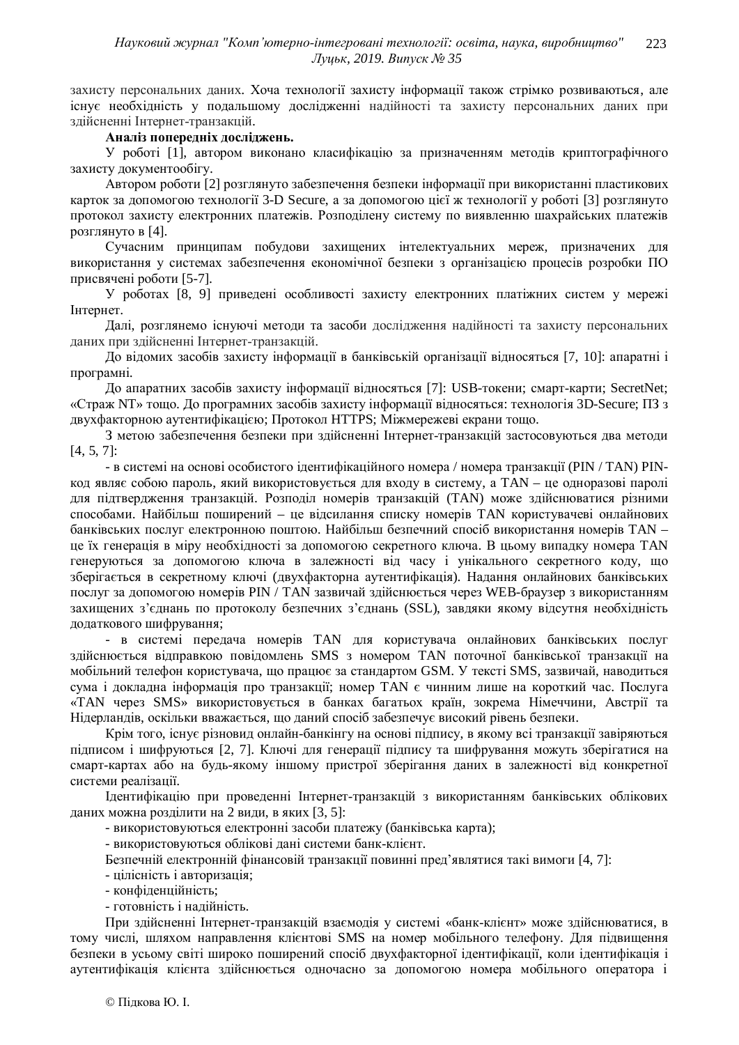захисту персональних даних. Хоча технології захисту інформації також стрімко розвиваються, але існує необхідність у подальшому дослідженні надійності та захисту персональних даних при злійсненні Інтернет-транзакцій.

## Аналіз попередніх досліджень.

У роботі [1], автором виконано класифікацію за призначенням методів криптографічного захисту документообігу.

Автором роботи [2] розглянуто забезпечення безпеки інформації при використанні пластикових карток за допомогою технології 3-D Secure, а за допомогою цієї ж технології у роботі [3] розглянуто протокол захисту електронних платежів. Розподілену систему по виявленню шахрайських платежів розглянуто в [4].

Сучасним принципам побудови захищених інтелектуальних мереж, призначених для використання у системах забезпечення економічної безпеки з організацією процесів розробки ПО присвячені роботи [5-7].

У роботах [8, 9] приведені особливості захисту електронних платіжних систем у мережі Інтернет.

Далі, розглянемо існуючі методи та засоби дослідження надійності та захисту персональних даних при злійсненні Інтернет-транзакцій.

До відомих засобів захисту інформації в банківській організації відносяться [7, 10]: апаратні і програмні.

До апаратних засобів захисту інформації відносяться [7]: USB-токени; смарт-карти; SecretNet; «Страж NT» тощо. До програмних засобів захисту інформації відносяться: технологія 3D-Secure; ПЗ з двухфакторною аутентифікацією; Протокол HTTPS; Міжмережеві екрани тощо.

З метою забезпечення безпеки при здійсненні Інтернет-транзакцій застосовуються два методи [4, 5, 7]:

- в системі на основі особистого ідентифікаційного номера / номера транзакції (PIN / TAN) PINкод являє собою пароль, який використовується для входу в систему, а TAN – це одноразові паролі для пілтвердження транзакцій. Розполіл номерів транзакцій (TAN) може злійснюватися різними способами. Найбільш поширений – це відсилання списку номерів ТАN користувачеві онлайнових банківських послуг електронною поштою. Найбільш безпечний спосіб використання номерів ТАN – це їх генерація в міру необхідності за допомогою секретного ключа. В цьому випадку номера TAN генеруються за допомогою ключа в залежності від часу і унікального секретного коду, що зберігається в секретному ключі (двухфакторна аутентифікація). Надання онлайнових банківських послуг за допомогою номерів PIN / TAN зазвичай здійснюється через WEB-браузер з використанням захищених з'єднань по протоколу безпечних з'єднань (SSL), завдяки якому відсутня необхідність додаткового шифрування;

- в системі передача номерів ТАN для користувача онлайнових банківських послуг здійснюється відправкою повідомлень SMS з номером TAN поточної банківської транзакції на мобільний телефон користувача, що працює за стандартом GSM. У тексті SMS, зазвичай, наводиться сума і докладна інформація про транзакції; номер ТАN є чинним лише на короткий час. Послуга «TAN через SMS» використовується в банках багатьох країн, зокрема Німеччини, Австрії та Нідерландів, оскільки вважається, що даний спосіб забезпечує високий рівень безпеки.

Крім того, існує різновид онлайн-банкінгу на основі підпису, в якому всі транзакції завіряються підписом і шифруються [2, 7]. Ключі для генерації підпису та шифрування можуть зберігатися на смарт-картах або на будь-якому іншому пристрої зберігання даних в залежності від конкретної системи реалізації.

Цдентифікацію при проведенні Інтернет-транзакцій з використанням банківських облікових даних можна розділити на 2 види, в яких [3, 5]:

- використовуються електронні засоби платежу (банківська карта);

- використовуються облікові дані системи банк-клієнт.

Безпечній електронній фінансовій транзакції повинні пред'являтися такі вимоги [4, 7]:

- цілісність і авторизація;

- конфіденційність;
- готовність і надійність.

При здійсненні Інтернет-транзакцій взаємодія у системі «банк-клієнт» може здійснюватися, в тому числі, шляхом направлення клієнтові SMS на номер мобільного телефону. Для підвищення безпеки в усьому світі широко поширений спосіб двухфакторної ідентифікації, коли ідентифікація і аутентифікація клієнта здійснюється одночасно за допомогою номера мобільного оператора і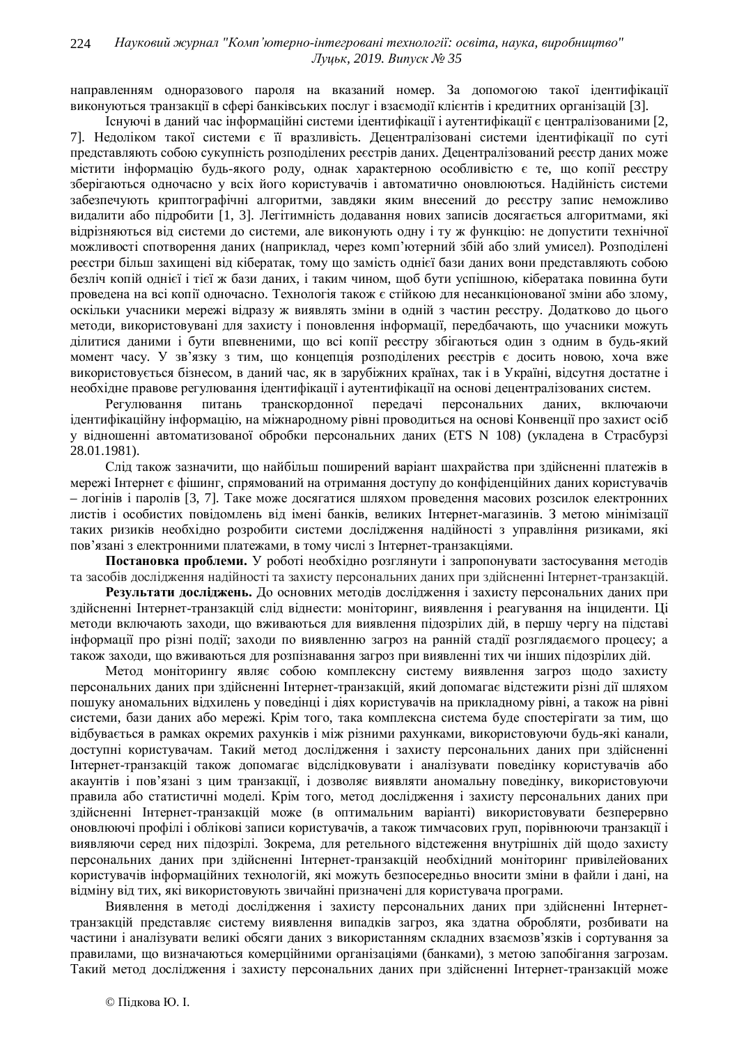направленням одноразового пароля на вказаний номер. За допомогою такої ілентифікації виконуються транзакий в сфері банківських послуг і взаємолії клієнтів і крелитних організацій [3].

Існуючі в ланий час інформаційні системи ілентифікації і аутентифікації є централізованими [2, 7]. Недоліком такої системи є її вразливість. Децентралізовані системи ідентифікації по суті представляють собою сукупність розподілених реєстрів даних. Децентралізований реєстр даних може містити інформацію будь-якого роду, однак характерною особливістю є те, що копії реєстру зберігаються одночасно у всіх його користувачів і автоматично оновлюються. Надійність системи забезпечують криптографічні алгоритми, завдяки яким внесений до реєстру запис неможливо видалити або підробити [1, 3]. Легітимність додавання нових записів досягається алгоритмами, які відрізняються від системи до системи, але виконують одну і ту ж функцію: не допустити технічної можливості спотворення даних (наприклад, через комп'ютерний збій або злий умисел). Розподілені реєстри більш захищені від кібератак, тому що замість однієї бази даних вони представляють собою безліч копій однієї і тієї ж бази даних, і таким чином, щоб бути успішною, кібератака повинна бути проведена на всі копії одночасно. Технологія також є стійкою для несанкціонованої зміни або злому, оскільки учасники мережі відразу ж виявлять зміни в одній з частин реєстру. Додатково до цього методи, використовувані для захисту і поновлення інформації, передбачають, що учасники можуть ділитися даними і бути впевненими, що всі копії реєстру збігаються один з одним в будь-який момент часу. У зв'язку з тим, що концепція розподілених реєстрів є досить новою, хоча вже використовується бізнесом, в даний час, як в зарубіжних країнах, так і в Україні, відсутня достатне і необхідне правове регулювання ідентифікації і аутентифікації на основі децентралізованих систем.

Регулювання питань транскордонної передачі персональних даних, включаючи ідентифікаційну інформацію, на міжнародному рівні проводиться на основі Конвенції про захист осіб у відношенні автоматизованої обробки персональних даних (ETS N 108) (укладена в Страсбурзі 28.01.1981).

Слід також зазначити, що найбільш поширений варіант шахрайства при здійсненні платежів в мережі Інтернет є фішинг, спрямований на отримання доступу до конфіденційних даних користувачів – логінів і паролів [3, 7]. Таке може лосягатися шляхом провелення масових розсилок електронних листів і особистих повідомлень від імені банків, великих Інтернет-магазинів. З метою мінімізації таких ризиків необхідно розробити системи дослідження надійності з управління ризиками, які пов'язані з електронними платежами, в тому числі з Інтернет-транзакціями.

Постановка проблеми. У роботі необхідно розглянути і запропонувати застосування методів та засобів дослідження надійності та захисту персональних даних при здійсненні Інтернет-транзакцій.

Результати досліджень. До основних методів дослідження і захисту персональних даних при здійсненні Інтернет-транзакцій слід віднести: моніторинг, виявлення і реагування на інциденти. Ці методи включають заходи, що вживаються для виявлення підозрілих дій, в першу чергу на підставі інформації про різні події; заходи по виявленню загроз на ранній стадії розглядаємого процесу; а також заходи, що вживаються для розпізнавання загроз при виявленні тих чи інших підозрілих дій.

Метод моніторингу являє собою комплексну систему виявлення загроз щодо захисту персональних даних при здійсненні Інтернет-транзакцій, який допомагає відстежити різні дії шляхом пошуку аномальних відхилень у поведінці і діях користувачів на прикладному рівні, а також на рівні системи, бази даних або мережі. Крім того, така комплексна система буде спостерігати за тим, що відбувається в рамках окремих рахунків і між різними рахунками, використовуючи будь-які канали, доступні користувачам. Такий метод дослідження і захисту персональних даних при здійсненні Итернет-транзакцій також допомагає відслідковувати і аналізувати поведінку користувачів або акаунтів і пов'язані з цим транзакції, і дозволяє виявляти аномальну поведінку, використовуючи правила або статистичні моделі. Крім того, метод дослідження і захисту персональних даних при здійсненні Інтернет-транзакцій може (в оптимальним варіанті) використовувати безперервно оновлюючі профілі і облікові записи користувачів, а також тимчасових груп, порівнюючи транзакції і виявляючи серед них підозрілі. Зокрема, для ретельного відстеження внутрішніх дій щодо захисту персональних даних при здійсненні Інтернет-транзакцій необхідний моніторинг привілейованих користувачів інформаційних технологій, які можуть безпосередньо вносити зміни в файли і дані, на відміну від тих, які використовують звичайні призначені для користувача програми.

Виявлення в методі дослідження і захисту персональних даних при здійсненні Інтернеттранзакцій представляє систему виявлення випадків загроз, яка здатна обробляти, розбивати на частини і аналізувати великі обсяги даних з використанням складних взаємозв'язків і сортування за правилами, що визначаються комерційними організаціями (банками), з метою запобігання загрозам. Такий метод дослідження і захисту персональних даних при здійсненні Інтернет-транзакцій може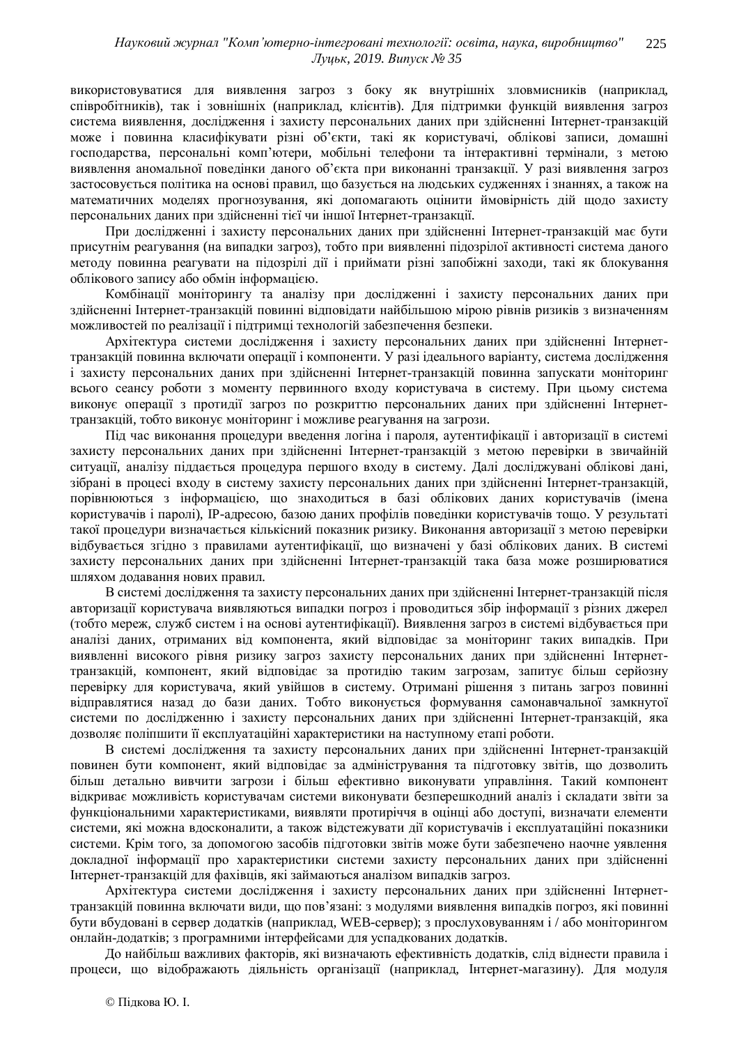використовуватися для виявлення загроз з боку як внутрішніх зловмисників (наприклад, співробітників), так і зовнішніх (наприклад, клієнтів). Для підтримки функцій виявлення загроз система виявлення, лослілження і захисту персональних даних при злійсненні Інтернет-транзакцій може і повинна класифікувати різні об'єкти, такі як користувачі, облікові записи, домашні господарства, персональні комп'ютери, мобільні телефони та інтерактивні термінали, з метою виявлення аномальної поведінки даного об'єкта при виконанні транзакції. У разі виявлення загроз застосовується політика на основі правил, що базується на людських судженнях і знаннях, а також на математичних моделях прогнозування, які допомагають оцінити ймовірність дій щодо захисту персональних даних при здійсненні тієї чи іншої Інтернет-транзакції.

При дослідженні і захисту персональних даних при здійсненні Інтернет-транзакцій має бути присутнім реагування (на випадки загроз), тобто при виявленні підозрілої активності система даного методу повинна реагувати на підозрілі дії і приймати різні запобіжні заходи, такі як блокування облікового запису або обмін інформацією.

Комбінації моніторингу та аналізу при дослідженні і захисту персональних даних при здійсненні Інтернет-транзакцій повинні відповідати найбільшою мірою рівнів ризиків з визначенням можливостей по реалізації і підтримці технологій забезпечення безпеки.

Архітектура системи дослідження і захисту персональних даних при здійсненні Інтернеттранзакцій повинна включати операції і компоненти. У разі ідеального варіанту, система дослідження і захисту персональних даних при здійсненні Інтернет-транзакцій повинна запускати моніторинг всього сеансу роботи з моменту первинного входу користувача в систему. При цьому система виконує операції з протидії загроз по розкриттю персональних даних при здійсненні Інтернеттранзакцій, тобто виконує моніторинг і можливе реагування на загрози.

Під час виконання процедури введення логіна і пароля, аутентифікації і авторизації в системі захисту персональних даних при здійсненні Інтернет-транзакцій з метою перевірки в звичайній ситуації, аналізу піддається процедура першого входу в систему. Далі досліджувані облікові дані, зібрані в процесі входу в систему захисту персональних даних при здійсненні Інтернет-транзакцій, порівнюються з інформацією, що знаходиться в базі облікових даних користувачів (імена користувачів і паролі), IP-адресою, базою даних профілів поведінки користувачів тощо. У результаті такої процедури визначається кількісний показник ризику. Виконання авторизації з метою перевірки відбувається згідно з правилами аутентифікації, що визначені у базі облікових даних. В системі захисту персональних даних при здійсненні Інтернет-транзакцій така база може розширюватися шляхом додавання нових правил.

В системі дослідження та захисту персональних даних при здійсненні Інтернет-транзакцій після авторизації користувача виявляються випадки погроз і проводиться збір інформації з різних джерел (тобто мереж, служб систем і на основі аутентифікації). Виявлення загроз в системі відбувається при аналізі даних, отриманих від компонента, який відповідає за моніторинг таких випадків. При виявленні високого рівня ризику загроз захисту персональних даних при здійсненні Інтернеттранзакцій, компонент, який відповідає за протидію таким загрозам, запитує більш серйозну перевірку для користувача, який увійшов в систему. Отримані рішення з питань загроз повинні відправлятися назад до бази даних. Тобто виконується формування самонавчальної замкнутої системи по дослідженню і захисту персональних даних при здійсненні Інтернет-транзакцій, яка дозволяє поліпшити її експлуатаційні характеристики на наступному етапі роботи.

В системі дослідження та захисту персональних даних при здійсненні Інтернет-транзакцій повинен бути компонент, який відповідає за адміністрування та підготовку звітів, що дозволить більш детально вивчити загрози і більш ефективно виконувати управління. Такий компонент відкриває можливість користувачам системи виконувати безперешкодний аналіз і складати звіти за функціональними характеристиками, виявляти протиріччя в оцінці або доступі, визначати елементи системи, які можна вдосконалити, а також відстежувати дії користувачів і експлуатаційні показники системи. Крім того, за допомогою засобів підготовки звітів може бути забезпечено наочне уявлення докладної інформації про характеристики системи захисту персональних даних при здійсненні Інтернет-транзакцій для фахівців, які займаються аналізом випадків загроз.

Архітектура системи дослідження і захисту персональних даних при здійсненні Інтернеттранзакцій повинна включати види, що пов'язані: з модулями виявлення випадків погроз, які повинні бути вбудовані в сервер додатків (наприклад, WEB-сервер); з прослуховуванням і / або моніторингом онлайн-додатків; з програмними інтерфейсами для успадкованих додатків.

До найбільш важливих факторів, які визначають ефективність додатків, слід віднести правила і процеси, що відображають діяльність організації (наприклад, Інтернет-магазину). Для модуля